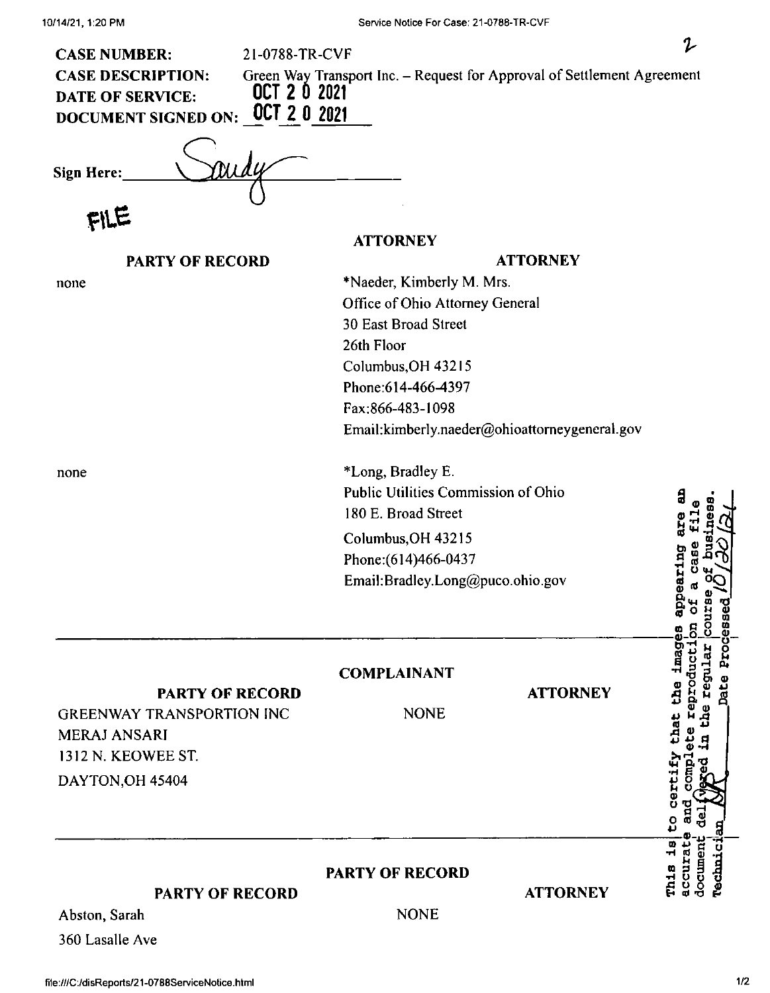| 21-0788-TR-CVF<br><b>CASE NUMBER:</b>                                                                             |                                                                            |                 | 2                                                        |
|-------------------------------------------------------------------------------------------------------------------|----------------------------------------------------------------------------|-----------------|----------------------------------------------------------|
| <b>CASE DESCRIPTION:</b><br>OCT 2 0 2021<br><b>DATE OF SERVICE:</b><br>OCT 2 0 2021<br><b>DOCUMENT SIGNED ON:</b> | Green Way Transport Inc. - Request for Approval of Settlement Agreement    |                 |                                                          |
| Sign Here:                                                                                                        |                                                                            |                 |                                                          |
|                                                                                                                   |                                                                            |                 |                                                          |
|                                                                                                                   | <b>ATTORNEY</b>                                                            |                 |                                                          |
| <b>PARTY OF RECORD</b>                                                                                            |                                                                            | <b>ATTORNEY</b> |                                                          |
| none                                                                                                              | *Naeder, Kimberly M. Mrs.                                                  |                 |                                                          |
|                                                                                                                   | Office of Ohio Attorney General                                            |                 |                                                          |
|                                                                                                                   | 30 East Broad Street                                                       |                 |                                                          |
|                                                                                                                   | 26th Floor<br>Columbus, OH 43215<br>Phone:614-466-4397<br>Fax:866-483-1098 |                 |                                                          |
|                                                                                                                   |                                                                            |                 |                                                          |
|                                                                                                                   |                                                                            |                 |                                                          |
|                                                                                                                   |                                                                            |                 |                                                          |
|                                                                                                                   | Email:kimberly.naeder@ohioattorneygeneral.gov                              |                 |                                                          |
| none                                                                                                              | *Long, Bradley E.                                                          |                 |                                                          |
|                                                                                                                   | <b>Public Utilities Commission of Ohio</b><br>ą                            |                 |                                                          |
|                                                                                                                   | 180 E. Broad Street                                                        |                 |                                                          |
|                                                                                                                   | Columbus, OH 43215                                                         |                 |                                                          |
|                                                                                                                   | Phone: (614) 466-0437                                                      |                 |                                                          |
|                                                                                                                   | earinc<br>Email:Bradley.Long@puco.ohio.gov                                 |                 |                                                          |
|                                                                                                                   |                                                                            |                 | ۵                                                        |
|                                                                                                                   |                                                                            |                 | Processe<br>ี<br>อื่อ                                    |
|                                                                                                                   | <b>COMPLAINANT</b>                                                         |                 | imag                                                     |
| <b>PARTY OF RECORD</b>                                                                                            |                                                                            | <b>ATTORNEY</b> | Date<br>the                                              |
| <b>GREENWAY TRANSPORTION INC</b>                                                                                  | <b>NONE</b>                                                                |                 | reproduc                                                 |
| <b>MERAJ ANSARI</b>                                                                                               |                                                                            |                 | inat                                                     |
| 1312 N. KEOWEE ST.                                                                                                |                                                                            |                 |                                                          |
| DAYTON, OH 45404                                                                                                  |                                                                            |                 | certify<br>ē                                             |
|                                                                                                                   |                                                                            |                 |                                                          |
|                                                                                                                   |                                                                            |                 | ပ္ပ                                                      |
|                                                                                                                   |                                                                            |                 | $\overline{\mathbf{a}}$<br>accurat<br>documen<br>rechnic |
|                                                                                                                   | <b>PARTY OF RECORD</b>                                                     |                 | th1s                                                     |
| <b>PARTY OF RECORD</b>                                                                                            |                                                                            | <b>ATTORNEY</b> |                                                          |
| Abston, Sarah                                                                                                     | <b>NONE</b>                                                                |                 |                                                          |
| 360 Lasalle Ave                                                                                                   |                                                                            |                 |                                                          |

file:///C:/disReports/21-0788ServiceNotice.html